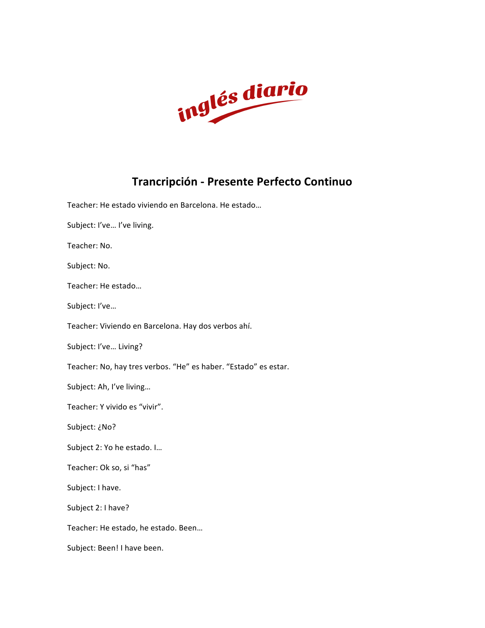

## **Trancripción - Presente Perfecto Continuo**

| Subject: I've I've living.                                      |
|-----------------------------------------------------------------|
| Teacher: No.                                                    |
| Subject: No.                                                    |
| Teacher: He estado                                              |
| Subject: I've                                                   |
| Teacher: Viviendo en Barcelona. Hay dos verbos ahí.             |
| Subject: I've Living?                                           |
| Teacher: No, hay tres verbos. "He" es haber. "Estado" es estar. |
| Subject: Ah, I've living                                        |
| Teacher: Y vivido es "vivir".                                   |
| Subject: ¿No?                                                   |
| Subject 2: Yo he estado. I                                      |
| Teacher: Ok so, si "has"                                        |
| Subject: I have.                                                |
| Subject 2: I have?                                              |
| Teacher: He estado, he estado. Been                             |
| Subject: Been! I have been.                                     |

Teacher: He estado viviendo en Barcelona. He estado...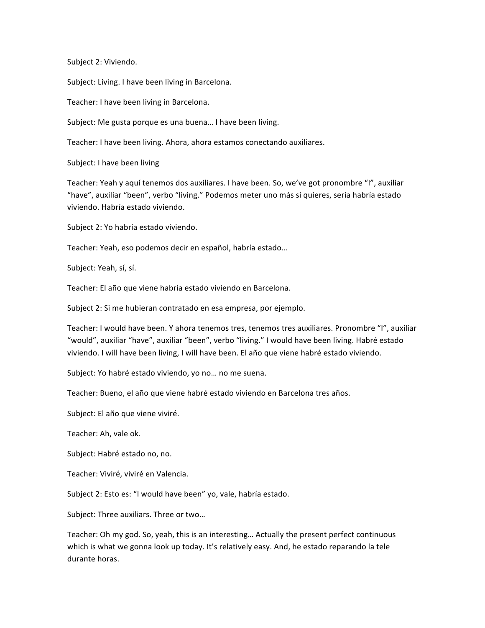Subject 2: Viviendo.

Subject: Living. I have been living in Barcelona.

Teacher: I have been living in Barcelona.

Subject: Me gusta porque es una buena... I have been living.

Teacher: I have been living. Ahora, ahora estamos conectando auxiliares.

Subject: I have been living

Teacher: Yeah y aquí tenemos dos auxiliares. I have been. So, we've got pronombre "I", auxiliar "have", auxiliar "been", verbo "living." Podemos meter uno más si quieres, sería habría estado viviendo. Habría estado viviendo.

Subject 2: Yo habría estado viviendo.

Teacher: Yeah, eso podemos decir en español, habría estado...

Subject: Yeah, sí, sí.

Teacher: El año que viene habría estado viviendo en Barcelona.

Subject 2: Si me hubieran contratado en esa empresa, por ejemplo.

Teacher: I would have been. Y ahora tenemos tres, tenemos tres auxiliares. Pronombre "I", auxiliar "would", auxiliar "have", auxiliar "been", verbo "living." I would have been living. Habré estado viviendo. I will have been living, I will have been. El año que viene habré estado viviendo.

Subject: Yo habré estado viviendo, yo no... no me suena.

Teacher: Bueno, el año que viene habré estado viviendo en Barcelona tres años.

Subject: El año que viene viviré.

Teacher: Ah, vale ok.

Subject: Habré estado no, no.

Teacher: Viviré, viviré en Valencia.

Subject 2: Esto es: "I would have been" yo, vale, habría estado.

Subject: Three auxiliars. Three or two...

Teacher: Oh my god. So, yeah, this is an interesting... Actually the present perfect continuous which is what we gonna look up today. It's relatively easy. And, he estado reparando la tele durante horas.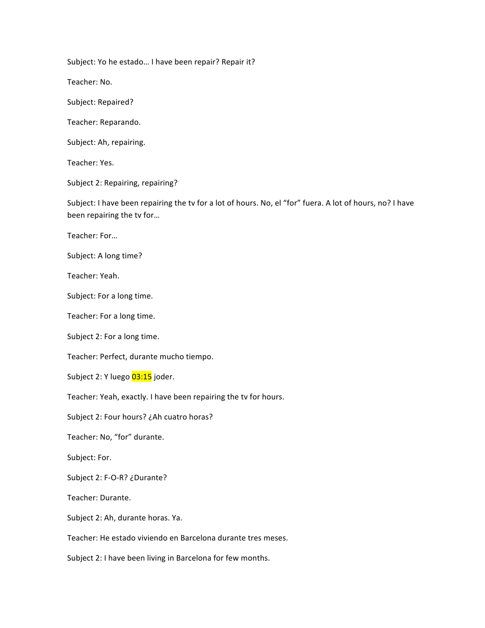Subject: Yo he estado... I have been repair? Repair it?

Teacher: No.

Subject: Repaired?

Teacher: Reparando.

Subject: Ah, repairing.

Teacher: Yes.

Subject 2: Repairing, repairing?

Subject: I have been repairing the tv for a lot of hours. No, el "for" fuera. A lot of hours, no? I have been repairing the tv for...

Teacher: For...

Subject: A long time?

Teacher: Yeah.

Subject: For a long time.

Teacher: For a long time.

Subject 2: For a long time.

Teacher: Perfect, durante mucho tiempo.

Subject 2: Y luego 03:15 joder.

Teacher: Yeah, exactly. I have been repairing the tv for hours.

Subject 2: Four hours? ¿Ah cuatro horas?

Teacher: No, "for" durante.

Subject: For.

Subject 2: F-O-R? ¿Durante?

Teacher: Durante.

Subject 2: Ah, durante horas. Ya.

Teacher: He estado viviendo en Barcelona durante tres meses.

Subject 2: I have been living in Barcelona for few months.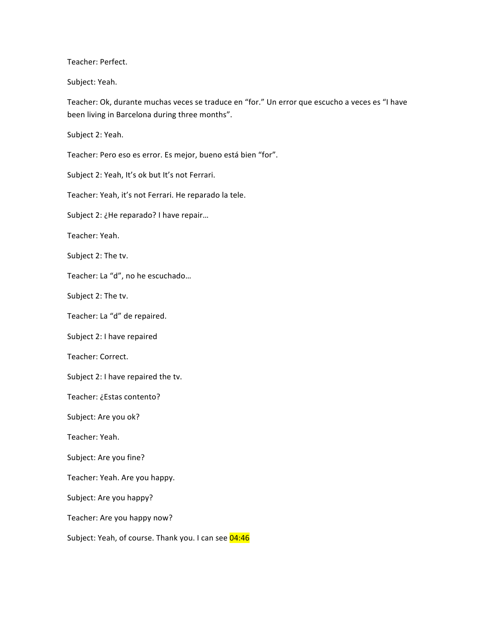Teacher: Perfect.

Subject: Yeah.

Teacher: Ok, durante muchas veces se traduce en "for." Un error que escucho a veces es "I have been living in Barcelona during three months".

Subject 2: Yeah.

Teacher: Pero eso es error. Es mejor, bueno está bien "for".

Subject 2: Yeah, It's ok but It's not Ferrari.

Teacher: Yeah, it's not Ferrari. He reparado la tele.

Subject 2: ¿He reparado? I have repair...

Teacher: Yeah.

Subject 2: The tv.

Teacher: La "d", no he escuchado...

Subject 2: The tv.

Teacher: La "d" de repaired.

Subject 2: I have repaired

Teacher: Correct.

Subject 2: I have repaired the tv.

Teacher: ¿Estas contento?

Subject: Are you ok?

Teacher: Yeah.

Subject: Are you fine?

Teacher: Yeah. Are you happy.

Subject: Are you happy?

Teacher: Are you happy now?

Subject: Yeah, of course. Thank you. I can see 04:46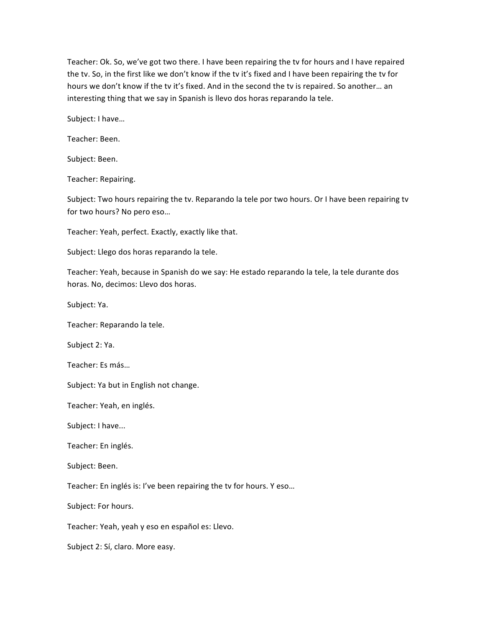Teacher: Ok. So, we've got two there. I have been repairing the tv for hours and I have repaired the tv. So, in the first like we don't know if the tv it's fixed and I have been repairing the tv for hours we don't know if the tv it's fixed. And in the second the tv is repaired. So another... an interesting thing that we say in Spanish is llevo dos horas reparando la tele.

Subject: I have...

Teacher: Been.

Subject: Been.

Teacher: Repairing.

Subject: Two hours repairing the tv. Reparando la tele por two hours. Or I have been repairing tv for two hours? No pero eso...

Teacher: Yeah, perfect. Exactly, exactly like that.

Subject: Llego dos horas reparando la tele.

Teacher: Yeah, because in Spanish do we say: He estado reparando la tele, la tele durante dos horas. No, decimos: Llevo dos horas.

Subject: Ya.

Teacher: Reparando la tele.

Subject 2: Ya.

Teacher: Es más…

Subject: Ya but in English not change.

Teacher: Yeah, en inglés.

Subject: I have...

Teacher: En inglés.

Subject: Been.

Teacher: En inglés is: I've been repairing the tv for hours. Y eso...

Subject: For hours.

Teacher: Yeah, yeah y eso en español es: Llevo.

Subject 2: Sí, claro. More easy.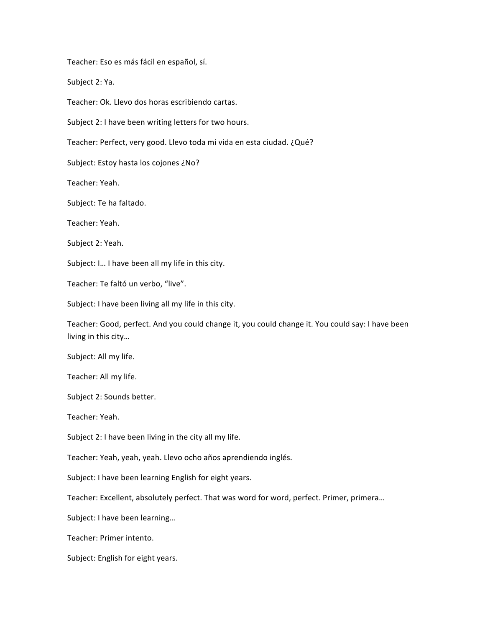Teacher: Eso es más fácil en español, sí.

Subject 2: Ya.

Teacher: Ok. Llevo dos horas escribiendo cartas.

Subject 2: I have been writing letters for two hours.

Teacher: Perfect, very good. Llevo toda mi vida en esta ciudad. ¿Qué?

Subject: Estoy hasta los cojones ¿No?

Teacher: Yeah.

Subject: Te ha faltado.

Teacher: Yeah.

Subject 2: Yeah.

Subject: I... I have been all my life in this city.

Teacher: Te faltó un verbo, "live".

Subject: I have been living all my life in this city.

Teacher: Good, perfect. And you could change it, you could change it. You could say: I have been living in this city...

Subject: All my life.

Teacher: All my life.

Subject 2: Sounds better.

Teacher: Yeah.

Subject 2: I have been living in the city all my life.

Teacher: Yeah, yeah, yeah. Llevo ocho años aprendiendo inglés.

Subject: I have been learning English for eight years.

Teacher: Excellent, absolutely perfect. That was word for word, perfect. Primer, primera...

Subject: I have been learning...

Teacher: Primer intento.

Subject: English for eight years.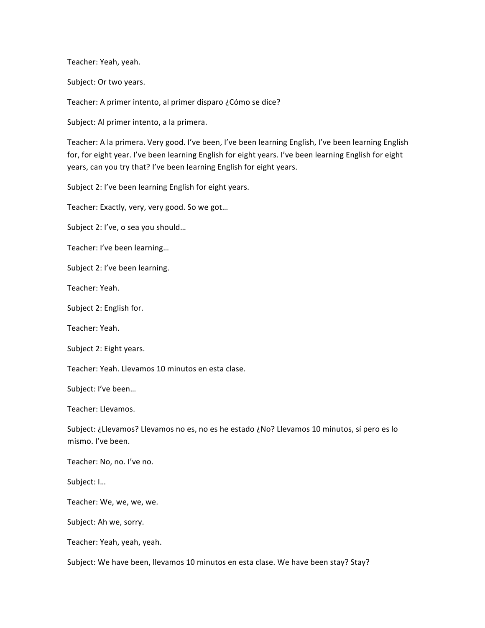Teacher: Yeah, yeah.

Subject: Or two years.

Teacher: A primer intento, al primer disparo ¿Cómo se dice?

Subject: Al primer intento, a la primera.

Teacher: A la primera. Very good. I've been, I've been learning English, I've been learning English for, for eight year. I've been learning English for eight years. I've been learning English for eight years, can you try that? I've been learning English for eight years.

Subject 2: I've been learning English for eight years.

Teacher: Exactly, very, very good. So we got...

Subject 2: I've, o sea you should...

Teacher: I've been learning...

Subject 2: I've been learning.

Teacher: Yeah.

Subject 2: English for.

Teacher: Yeah.

Subject 2: Eight years.

Teacher: Yeah. Llevamos 10 minutos en esta clase.

Subject: I've been...

Teacher: Llevamos.

Subject: ¿Llevamos? Llevamos no es, no es he estado ¿No? Llevamos 10 minutos, sí pero es lo mismo. I've been.

Teacher: No, no. I've no.

Subject: I...

Teacher: We, we, we, we.

Subject: Ah we, sorry.

Teacher: Yeah, yeah, yeah.

Subject: We have been, llevamos 10 minutos en esta clase. We have been stay? Stay?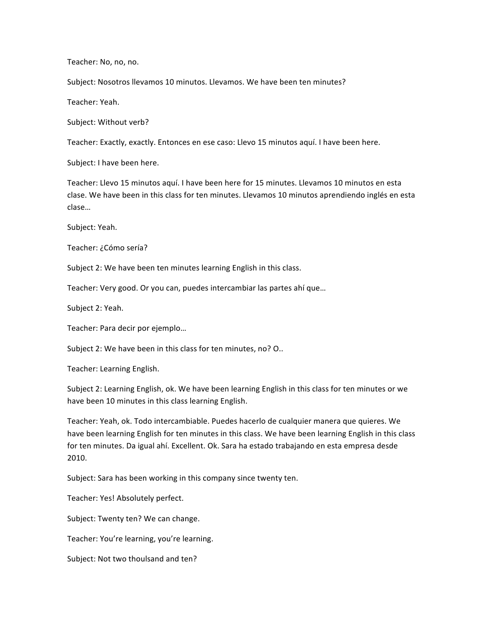Teacher: No, no, no.

Subject: Nosotros llevamos 10 minutos. Llevamos. We have been ten minutes?

Teacher: Yeah.

Subject: Without verb?

Teacher: Exactly, exactly. Entonces en ese caso: Llevo 15 minutos aquí. I have been here.

Subject: I have been here.

Teacher: Llevo 15 minutos aquí. I have been here for 15 minutes. Llevamos 10 minutos en esta clase. We have been in this class for ten minutes. Llevamos 10 minutos aprendiendo inglés en esta clase…

Subject: Yeah.

Teacher: ¿Cómo sería?

Subject 2: We have been ten minutes learning English in this class.

Teacher: Very good. Or you can, puedes intercambiar las partes ahí que...

Subject 2: Yeah.

Teacher: Para decir por ejemplo...

Subject 2: We have been in this class for ten minutes, no? O..

Teacher: Learning English.

Subject 2: Learning English, ok. We have been learning English in this class for ten minutes or we have been 10 minutes in this class learning English.

Teacher: Yeah, ok. Todo intercambiable. Puedes hacerlo de cualquier manera que quieres. We have been learning English for ten minutes in this class. We have been learning English in this class for ten minutes. Da igual ahí. Excellent. Ok. Sara ha estado trabajando en esta empresa desde 2010.

Subject: Sara has been working in this company since twenty ten.

Teacher: Yes! Absolutely perfect.

Subject: Twenty ten? We can change.

Teacher: You're learning, you're learning.

Subject: Not two thoulsand and ten?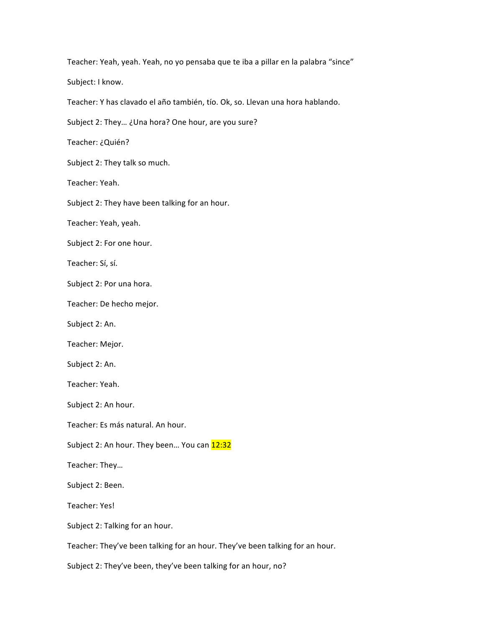Teacher: Yeah, yeah. Yeah, no yo pensaba que te iba a pillar en la palabra "since"

Subject: I know.

Teacher: Y has clavado el año también, tío. Ok, so. Llevan una hora hablando.

Subject 2: They... ¿Una hora? One hour, are you sure?

Teacher: ¿Quién?

Subject 2: They talk so much.

Teacher: Yeah.

Subject 2: They have been talking for an hour.

Teacher: Yeah, yeah.

Subject 2: For one hour.

Teacher: Sí, sí.

Subject 2: Por una hora.

Teacher: De hecho mejor.

Subject 2: An.

Teacher: Mejor.

Subject 2: An.

Teacher: Yeah. 

Subject 2: An hour.

Teacher: Es más natural. An hour.

Subject 2: An hour. They been... You can 12:32

Teacher: They...

Subject 2: Been.

Teacher: Yes!

Subject 2: Talking for an hour.

Teacher: They've been talking for an hour. They've been talking for an hour.

Subject 2: They've been, they've been talking for an hour, no?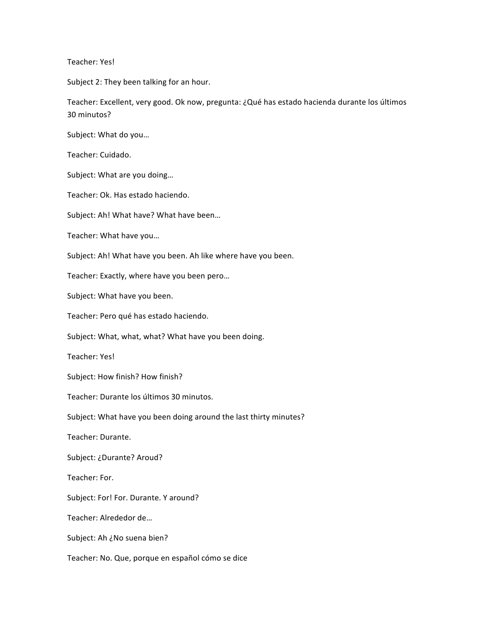Teacher: Yes!

Subject 2: They been talking for an hour.

Teacher: Excellent, very good. Ok now, pregunta: ¿Qué has estado hacienda durante los últimos 30 minutos?

Subject: What do you...

Teacher: Cuidado.

Subject: What are you doing...

Teacher: Ok. Has estado haciendo.

Subject: Ah! What have? What have been...

Teacher: What have you...

Subject: Ah! What have you been. Ah like where have you been.

Teacher: Exactly, where have you been pero...

Subject: What have you been.

Teacher: Pero qué has estado haciendo.

Subject: What, what, what? What have you been doing.

Teacher: Yes!

Subject: How finish? How finish?

Teacher: Durante los últimos 30 minutos.

Subject: What have you been doing around the last thirty minutes?

Teacher: Durante.

Subject: ¿Durante? Aroud?

Teacher: For.

Subject: For! For. Durante. Y around?

Teacher: Alrededor de...

Subject: Ah ¿No suena bien?

Teacher: No. Que, porque en español cómo se dice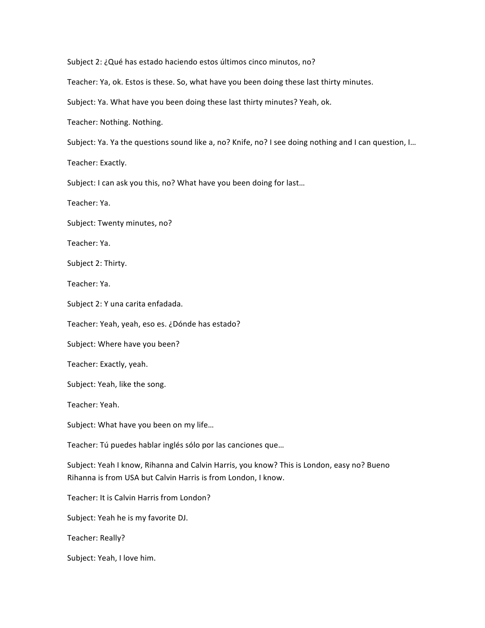Subject 2: ¿Qué has estado haciendo estos últimos cinco minutos, no?

Teacher: Ya, ok. Estos is these. So, what have you been doing these last thirty minutes.

Subject: Ya. What have you been doing these last thirty minutes? Yeah, ok.

Teacher: Nothing. Nothing.

Subject: Ya. Ya the questions sound like a, no? Knife, no? I see doing nothing and I can question, I...

Teacher: Exactly.

Subject: I can ask you this, no? What have you been doing for last...

Teacher: Ya.

Subject: Twenty minutes, no?

Teacher: Ya.

Subject 2: Thirty.

Teacher: Ya.

Subject 2: Y una carita enfadada.

Teacher: Yeah, yeah, eso es. ¿Dónde has estado?

Subject: Where have you been?

Teacher: Exactly, yeah.

Subject: Yeah, like the song.

Teacher: Yeah. 

Subject: What have you been on my life...

Teacher: Tú puedes hablar inglés sólo por las canciones que...

Subject: Yeah I know, Rihanna and Calvin Harris, you know? This is London, easy no? Bueno Rihanna is from USA but Calvin Harris is from London, I know.

Teacher: It is Calvin Harris from London?

Subject: Yeah he is my favorite DJ.

Teacher: Really?

Subject: Yeah, I love him.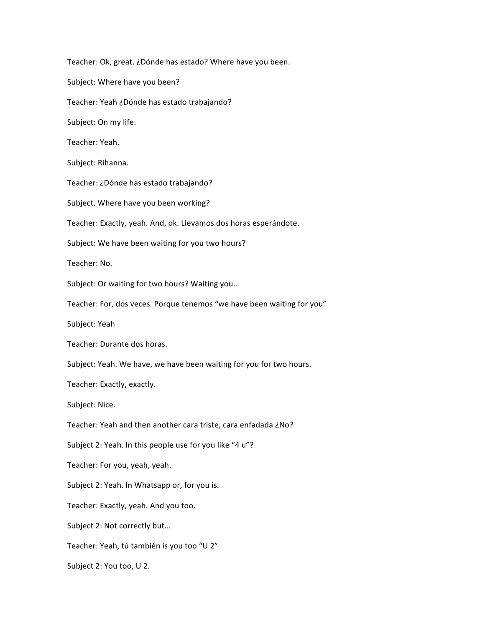Teacher: Ok, great. ¿Dónde has estado? Where have you been. Subject: Where have you been? Teacher: Yeah ¿Dónde has estado trabajando? Subject: On my life. Teacher: Yeah. Subject: Rihanna. Teacher: ¿Dónde has estado trabajando? Subject. Where have you been working? Teacher: Exactly, yeah. And, ok. Llevamos dos horas esperándote. Subject: We have been waiting for you two hours? Teacher: No. Subject: Or waiting for two hours? Waiting you... Teacher: For, dos veces. Porque tenemos "we have been waiting for you" Subject: Yeah Teacher: Durante dos horas. Subject: Yeah. We have, we have been waiting for you for two hours. Teacher: Exactly, exactly. Subject: Nice. Teacher: Yeah and then another cara triste, cara enfadada ¿No? Subject 2: Yeah. In this people use for you like "4 u"? Teacher: For you, yeah, yeah. Subject 2: Yeah. In Whatsapp or, for you is. Teacher: Exactly, yeah. And you too. Subject 2: Not correctly but... Teacher: Yeah, tú también is you too "U 2" Subject 2: You too, U 2.